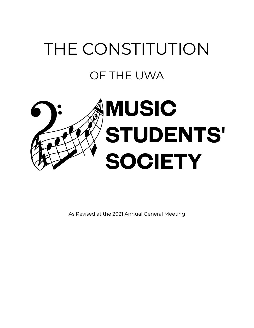# THE CONSTITUTION OF THE UWA



As Revised at the 2021 Annual General Meeting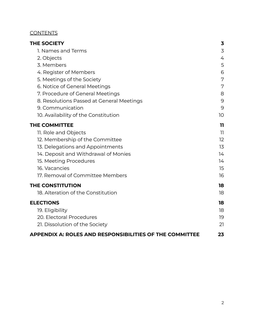## **CONTENTS**

<span id="page-1-0"></span>

| <b>THE SOCIETY</b><br>1. Names and Terms<br>2. Objects  | 3<br>3<br>4 |                        |   |
|---------------------------------------------------------|-------------|------------------------|---|
|                                                         |             | 3. Members             | 5 |
|                                                         |             | 4. Register of Members | 6 |
| 5. Meetings of the Society                              | 7           |                        |   |
| 6. Notice of General Meetings                           | 7           |                        |   |
| 7. Procedure of General Meetings                        | 8           |                        |   |
| 8. Resolutions Passed at General Meetings               | 9           |                        |   |
| 9. Communication                                        | 9           |                        |   |
| 10. Availability of the Constitution                    | 10          |                        |   |
| <b>THE COMMITTEE</b>                                    | 11          |                        |   |
| 11. Role and Objects                                    | 11          |                        |   |
| 12. Membership of the Committee                         | 12          |                        |   |
| 13. Delegations and Appointments                        | 13          |                        |   |
| 14. Deposit and Withdrawal of Monies                    | 14          |                        |   |
| 15. Meeting Procedures                                  | 14          |                        |   |
| 16. Vacancies                                           | 15          |                        |   |
| 17. Removal of Committee Members                        | 16          |                        |   |
| <b>THE CONSTITUTION</b>                                 | 18          |                        |   |
| 18. Alteration of the Constitution                      | 18          |                        |   |
| <b>ELECTIONS</b>                                        | 18          |                        |   |
| 19. Eligibility                                         | 18          |                        |   |
| 20. Electoral Procedures                                | 19          |                        |   |
| 21. Dissolution of the Society                          | 21          |                        |   |
| APPENDIX A: ROLES AND RESPONSIBILITIES OF THE COMMITTEE | 23          |                        |   |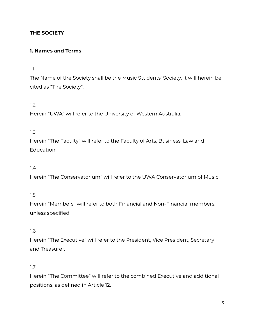## **THE SOCIETY**

## <span id="page-2-0"></span>**1. Names and Terms**

#### 1.1

The Name of the Society shall be the Music Students' Society. It will herein be cited as "The Society".

## 1.2

Herein "UWA" will refer to the University of Western Australia.

#### 1.3

Herein "The Faculty" will refer to the Faculty of Arts, Business, Law and Education.

## 1.4

Herein "The Conservatorium" will refer to the UWA Conservatorium of Music.

#### 1.5

Herein "Members" will refer to both Financial and Non-Financial members, unless specified.

#### 1.6

Herein "The Executive" will refer to the President, Vice President, Secretary and Treasurer.

#### 1.7

Herein "The Committee" will refer to the combined Executive and additional positions, as defined in Article 12.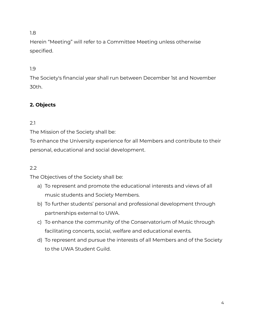Herein "Meeting" will refer to a Committee Meeting unless otherwise specified.

# 1.9

The Society's financial year shall run between December 1st and November 30th.

# **2. Objects**

# <span id="page-3-0"></span>2.1

The Mission of the Society shall be:

To enhance the University experience for all Members and contribute to their personal, educational and social development.

## 2.2

The Objectives of the Society shall be:

- a) To represent and promote the educational interests and views of all music students and Society Members.
- b) To further students' personal and professional development through partnerships external to UWA.
- c) To enhance the community of the Conservatorium of Music through facilitating concerts, social, welfare and educational events.
- d) To represent and pursue the interests of all Members and of the Society to the UWA Student Guild.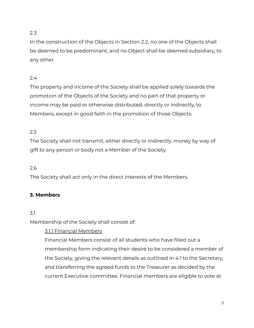In the construction of the Objects in Section 2.2, no one of the Objects shall be deemed to be predominant, and no Object shall be deemed subsidiary, to any other.

# 2.4

The property and income of the Society shall be applied solely towards the promotion of the Objects of the Society and no part of that property or income may be paid or otherwise distributed, directly or indirectly, to Members, except in good faith in the promotion of those Objects.

## 2.5

The Society shall not transmit, either directly or indirectly, money by way of gift to any person or body not a Member of the Society.

## 2.6

The Society shall act only in the direct interests of the Members.

## <span id="page-4-0"></span>**3. Members**

## 3.1

Membership of the Society shall consist of:

3.1.1 Financial Members

Financial Members consist of all students who have filled out a membership form indicating their desire to be considered a member of the Society, giving the relevant details as outlined in 4.1 to the Secretary, and transferring the agreed funds to the Treasurer as decided by the current Executive committee. Financial members are eligible to vote at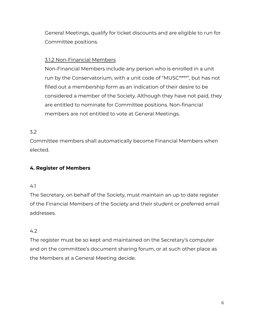General Meetings, qualify for ticket discounts and are eligible to run for Committee positions.

# 3.1.2 Non-Financial Members

Non-Financial Members include any person who is enrolled in a unit run by the Conservatorium, with a unit code of "MUSC\*\*\*\*", but has not filled out a membership form as an indication of their desire to be considered a member of the Society. Although they have not paid, they are entitled to nominate for Committee positions. Non-financial members are not entitled to vote at General Meetings.

# 3.2

Committee members shall automatically become Financial Members when elected.

# <span id="page-5-0"></span>**4. Register of Members**

#### 4.1

The Secretary, on behalf of the Society, must maintain an up to date register of the Financial Members of the Society and their student or preferred email addresses.

## 4.2

The register must be so kept and maintained on the Secretary's computer and on the committee's document sharing forum, or at such other place as the Members at a General Meeting decide.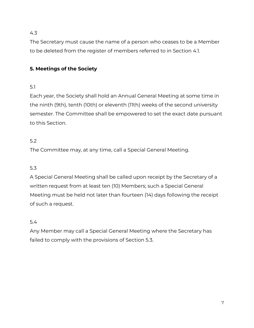The Secretary must cause the name of a person who ceases to be a Member to be deleted from the register of members referred to in Section 4.1.

# <span id="page-6-0"></span>**5. Meetings of the Society**

## 5.1

Each year, the Society shall hold an Annual General Meeting at some time in the ninth (9th), tenth (10th) or eleventh (11th) weeks of the second university semester. The Committee shall be empowered to set the exact date pursuant to this Section.

## 5.2

The Committee may, at any time, call a Special General Meeting.

# 5.3

A Special General Meeting shall be called upon receipt by the Secretary of a written request from at least ten (10) Members; such a Special General Meeting must be held not later than fourteen (14) days following the receipt of such a request.

## 5.4

Any Member may call a Special General Meeting where the Secretary has failed to comply with the provisions of Section 5.3.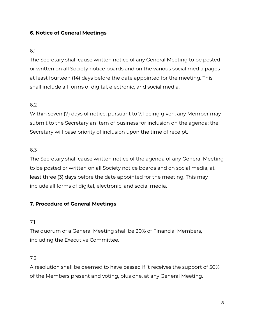# **6. Notice of General Meetings**

## <span id="page-7-0"></span>6.1

The Secretary shall cause written notice of any General Meeting to be posted or written on all Society notice boards and on the various social media pages at least fourteen (14) days before the date appointed for the meeting. This shall include all forms of digital, electronic, and social media.

## 6.2

Within seven (7) days of notice, pursuant to 7.1 being given, any Member may submit to the Secretary an item of business for inclusion on the agenda; the Secretary will base priority of inclusion upon the time of receipt.

#### 6.3

The Secretary shall cause written notice of the agenda of any General Meeting to be posted or written on all Society notice boards and on social media, at least three (3) days before the date appointed for the meeting. This may include all forms of digital, electronic, and social media.

## <span id="page-7-1"></span>**7. Procedure of General Meetings**

#### 7.1

The quorum of a General Meeting shall be 20% of Financial Members, including the Executive Committee.

## 7.2

A resolution shall be deemed to have passed if it receives the support of 50% of the Members present and voting, plus one, at any General Meeting.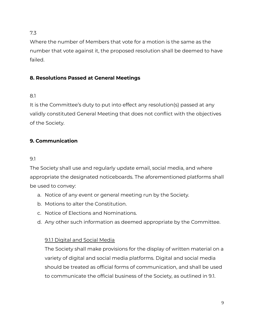Where the number of Members that vote for a motion is the same as the number that vote against it, the proposed resolution shall be deemed to have failed.

# <span id="page-8-0"></span>**8. Resolutions Passed at General Meetings**

# 8.1

It is the Committee's duty to put into effect any resolution(s) passed at any validly constituted General Meeting that does not conflict with the objectives of the Society.

# <span id="page-8-1"></span>**9. Communication**

## 9.1

The Society shall use and regularly update email, social media, and where appropriate the designated noticeboards. The aforementioned platforms shall be used to convey:

- a. Notice of any event or general meeting run by the Society.
- b. Motions to alter the Constitution.
- c. Notice of Elections and Nominations.
- d. Any other such information as deemed appropriate by the Committee.

# 9.1.1 Digital and Social Media

The Society shall make provisions for the display of written material on a variety of digital and social media platforms. Digital and social media should be treated as official forms of communication, and shall be used to communicate the official business of the Society, as outlined in 9.1.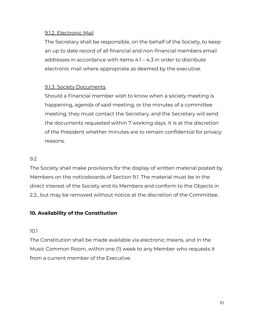## 9.1.2. Electronic Mail

The Secretary shall be responsible, on the behalf of the Society, to keep an up to date record of all financial and non-financial members email addresses in accordance with items 4.1 – 4.3 in order to distribute electronic mail where appropriate as deemed by the executive.

# 9.1.3. Society Documents

Should a Financial member wish to know when a society meeting is happening, agenda of said meeting, or the minutes of a committee meeting, they must contact the Secretary, and the Secretary will send the documents requested within 7 working days. It is at the discretion of the President whether minutes are to remain confidential for privacy reasons.

# 9.2

The Society shall make provisions for the display of written material posted by Members on the noticeboards of Section 9.1. The material must be in the direct interest of the Society and its Members and conform to the Objects in 2.2., but may be removed without notice at the discretion of the Committee.

# <span id="page-9-0"></span>**10. Availability of the Constitution**

## 10.1

The Constitution shall be made available via electronic means, and in the Music Common Room, within one (1) week to any Member who requests it from a current member of the Executive.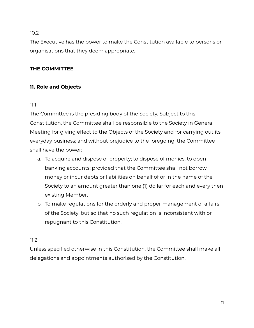The Executive has the power to make the Constitution available to persons or organisations that they deem appropriate.

# <span id="page-10-0"></span>**THE COMMITTEE**

# <span id="page-10-1"></span>**11. Role and Objects**

## 11.1

The Committee is the presiding body of the Society. Subject to this Constitution, the Committee shall be responsible to the Society in General Meeting for giving effect to the Objects of the Society and for carrying out its everyday business; and without prejudice to the foregoing, the Committee shall have the power:

- a. To acquire and dispose of property; to dispose of monies; to open banking accounts; provided that the Committee shall not borrow money or incur debts or liabilities on behalf of or in the name of the Society to an amount greater than one (1) dollar for each and every then existing Member.
- b. To make regulations for the orderly and proper management of affairs of the Society, but so that no such regulation is inconsistent with or repugnant to this Constitution.

# 11.2

Unless specified otherwise in this Constitution, the Committee shall make all delegations and appointments authorised by the Constitution.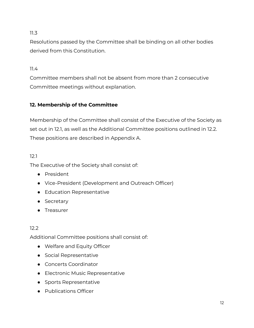Resolutions passed by the Committee shall be binding on all other bodies derived from this Constitution.

11.4

Committee members shall not be absent from more than 2 consecutive Committee meetings without explanation.

# <span id="page-11-0"></span>**12. Membership of the Committee**

Membership of the Committee shall consist of the Executive of the Society as set out in 12.1, as well as the Additional Committee positions outlined in 12.2. These positions are described in Appendix A.

# 12.1

The Executive of the Society shall consist of:

- President
- Vice-President (Development and Outreach Officer)
- Education Representative
- Secretary
- Treasurer

# 12.2

Additional Committee positions shall consist of:

- Welfare and Equity Officer
- Social Representative
- Concerts Coordinator
- Electronic Music Representative
- Sports Representative
- Publications Officer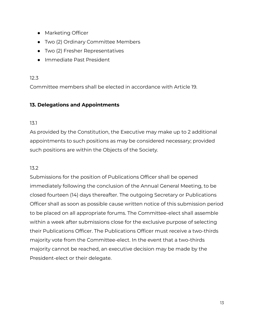- Marketing Officer
- Two (2) Ordinary Committee Members
- Two (2) Fresher Representatives
- Immediate Past President

Committee members shall be elected in accordance with Article 19.

## <span id="page-12-0"></span>**13. Delegations and Appointments**

## 13.1

As provided by the Constitution, the Executive may make up to 2 additional appointments to such positions as may be considered necessary; provided such positions are within the Objects of the Society.

## 13.2

Submissions for the position of Publications Officer shall be opened immediately following the conclusion of the Annual General Meeting, to be closed fourteen (14) days thereafter. The outgoing Secretary or Publications Officer shall as soon as possible cause written notice of this submission period to be placed on all appropriate forums. The Committee-elect shall assemble within a week after submissions close for the exclusive purpose of selecting their Publications Officer. The Publications Officer must receive a two-thirds majority vote from the Committee-elect. In the event that a two-thirds majority cannot be reached, an executive decision may be made by the President-elect or their delegate.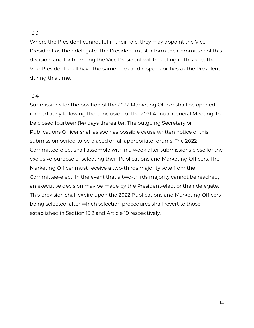Where the President cannot fulfill their role, they may appoint the Vice President as their delegate. The President must inform the Committee of this decision, and for how long the Vice President will be acting in this role. The Vice President shall have the same roles and responsibilities as the President during this time.

#### 13.4

Submissions for the position of the 2022 Marketing Officer shall be opened immediately following the conclusion of the 2021 Annual General Meeting, to be closed fourteen (14) days thereafter. The outgoing Secretary or Publications Officer shall as soon as possible cause written notice of this submission period to be placed on all appropriate forums. The 2022 Committee-elect shall assemble within a week after submissions close for the exclusive purpose of selecting their Publications and Marketing Officers. The Marketing Officer must receive a two-thirds majority vote from the Committee-elect. In the event that a two-thirds majority cannot be reached, an executive decision may be made by the President-elect or their delegate. This provision shall expire upon the 2022 Publications and Marketing Officers being selected, after which selection procedures shall revert to those established in Section 13.2 and Article 19 respectively.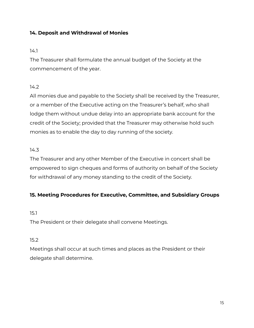# <span id="page-14-0"></span>**14. Deposit and Withdrawal of Monies**

#### 14.1

The Treasurer shall formulate the annual budget of the Society at the commencement of the year.

## 14.2

All monies due and payable to the Society shall be received by the Treasurer, or a member of the Executive acting on the Treasurer's behalf, who shall lodge them without undue delay into an appropriate bank account for the credit of the Society; provided that the Treasurer may otherwise hold such monies as to enable the day to day running of the society.

## 14.3

The Treasurer and any other Member of the Executive in concert shall be empowered to sign cheques and forms of authority on behalf of the Society for withdrawal of any money standing to the credit of the Society.

## <span id="page-14-1"></span>**15. Meeting Procedures for Executive, Committee, and Subsidiary Groups**

#### 15.1

The President or their delegate shall convene Meetings.

## 15.2

Meetings shall occur at such times and places as the President or their delegate shall determine.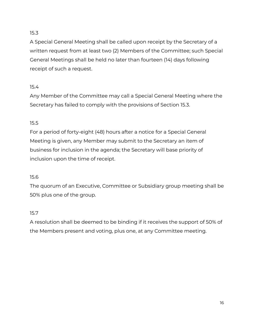A Special General Meeting shall be called upon receipt by the Secretary of a written request from at least two (2) Members of the Committee; such Special General Meetings shall be held no later than fourteen (14) days following receipt of such a request.

# 15.4

Any Member of the Committee may call a Special General Meeting where the Secretary has failed to comply with the provisions of Section 15.3.

# 15.5

For a period of forty-eight (48) hours after a notice for a Special General Meeting is given, any Member may submit to the Secretary an item of business for inclusion in the agenda; the Secretary will base priority of inclusion upon the time of receipt.

# 15.6

The quorum of an Executive, Committee or Subsidiary group meeting shall be 50% plus one of the group.

# 15.7

A resolution shall be deemed to be binding if it receives the support of 50% of the Members present and voting, plus one, at any Committee meeting.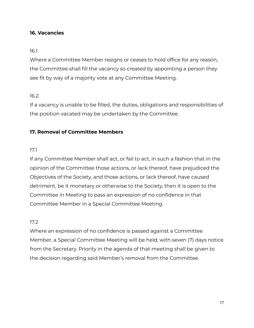#### <span id="page-16-0"></span>**16. Vacancies**

#### 16.1

Where a Committee Member resigns or ceases to hold office for any reason, the Committee shall fill the vacancy so created by appointing a person they see fit by way of a majority vote at any Committee Meeting.

#### 16.2

If a vacancy is unable to be filled, the duties, obligations and responsibilities of the position vacated may be undertaken by the Committee.

#### <span id="page-16-1"></span>**17. Removal of Committee Members**

#### 17.1

If any Committee Member shall act, or fail to act, in such a fashion that in the opinion of the Committee those actions, or lack thereof, have prejudiced the Objectives of the Society, and those actions, or lack thereof, have caused detriment, be it monetary or otherwise to the Society, then it is open to the Committee in Meeting to pass an expression of no confidence in that Committee Member in a Special Committee Meeting.

#### 17.2

Where an expression of no confidence is passed against a Committee Member, a Special Committee Meeting will be held, with seven (7) days notice from the Secretary. Priority in the agenda of that meeting shall be given to the decision regarding said Member's removal from the Committee.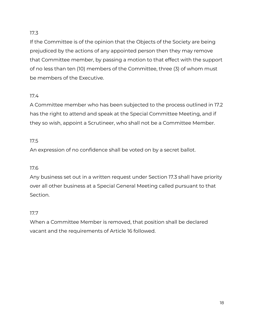If the Committee is of the opinion that the Objects of the Society are being prejudiced by the actions of any appointed person then they may remove that Committee member, by passing a motion to that effect with the support of no less than ten (10) members of the Committee, three (3) of whom must be members of the Executive.

# 17.4

A Committee member who has been subjected to the process outlined in 17.2 has the right to attend and speak at the Special Committee Meeting, and if they so wish, appoint a Scrutineer, who shall not be a Committee Member.

# 17.5

An expression of no confidence shall be voted on by a secret ballot.

# 17.6

Any business set out in a written request under Section 17.3 shall have priority over all other business at a Special General Meeting called pursuant to that Section.

# 17.7

<span id="page-17-0"></span>When a Committee Member is removed, that position shall be declared vacant and the requirements of Article 16 followed.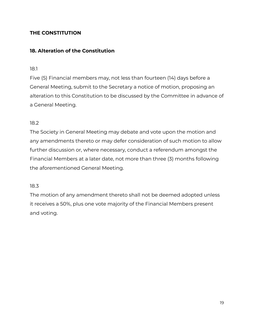# **THE CONSTITUTION**

## <span id="page-18-0"></span>**18. Alteration of the Constitution**

#### 18.1

Five (5) Financial members may, not less than fourteen (14) days before a General Meeting, submit to the Secretary a notice of motion, proposing an alteration to this Constitution to be discussed by the Committee in advance of a General Meeting.

#### 18.2

The Society in General Meeting may debate and vote upon the motion and any amendments thereto or may defer consideration of such motion to allow further discussion or, where necessary, conduct a referendum amongst the Financial Members at a later date, not more than three (3) months following the aforementioned General Meeting.

#### 18.3

<span id="page-18-1"></span>The motion of any amendment thereto shall not be deemed adopted unless it receives a 50%, plus one vote majority of the Financial Members present and voting.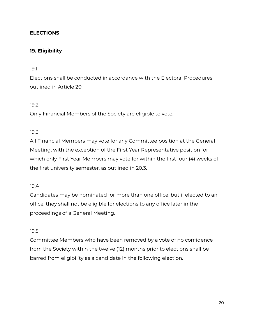## **ELECTIONS**

## <span id="page-19-0"></span>**19. Eligibility**

#### 19.1

Elections shall be conducted in accordance with the Electoral Procedures outlined in Article 20.

#### 19.2

Only Financial Members of the Society are eligible to vote.

#### 19.3

All Financial Members may vote for any Committee position at the General Meeting, with the exception of the First Year Representative position for which only First Year Members may vote for within the first four (4) weeks of the first university semester, as outlined in 20.3.

#### 19.4

Candidates may be nominated for more than one office, but if elected to an office, they shall not be eligible for elections to any office later in the proceedings of a General Meeting.

#### 19.5

Committee Members who have been removed by a vote of no confidence from the Society within the twelve (12) months prior to elections shall be barred from eligibility as a candidate in the following election.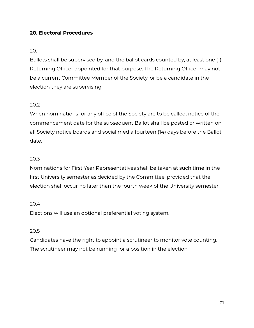## <span id="page-20-0"></span>**20. Electoral Procedures**

#### 20.1

Ballots shall be supervised by, and the ballot cards counted by, at least one (1) Returning Officer appointed for that purpose. The Returning Officer may not be a current Committee Member of the Society, or be a candidate in the election they are supervising.

## 20.2

When nominations for any office of the Society are to be called, notice of the commencement date for the subsequent Ballot shall be posted or written on all Society notice boards and social media fourteen (14) days before the Ballot date.

#### 20.3

Nominations for First Year Representatives shall be taken at such time in the first University semester as decided by the Committee; provided that the election shall occur no later than the fourth week of the University semester.

#### 20.4

Elections will use an optional preferential voting system.

## 20.5

Candidates have the right to appoint a scrutineer to monitor vote counting. The scrutineer may not be running for a position in the election.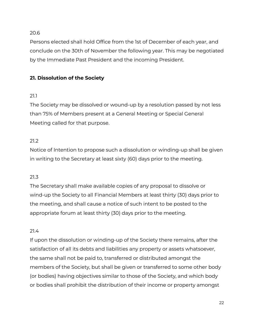Persons elected shall hold Office from the 1st of December of each year, and conclude on the 30th of November the following year. This may be negotiated by the Immediate Past President and the incoming President.

# <span id="page-21-0"></span>**21. Dissolution of the Society**

# 21.1

The Society may be dissolved or wound-up by a resolution passed by not less than 75% of Members present at a General Meeting or Special General Meeting called for that purpose.

# 21.2

Notice of Intention to propose such a dissolution or winding-up shall be given in writing to the Secretary at least sixty (60) days prior to the meeting.

# 21.3

The Secretary shall make available copies of any proposal to dissolve or wind-up the Society to all Financial Members at least thirty (30) days prior to the meeting, and shall cause a notice of such intent to be posted to the appropriate forum at least thirty (30) days prior to the meeting.

## 21.4

If upon the dissolution or winding-up of the Society there remains, after the satisfaction of all its debts and liabilities any property or assets whatsoever, the same shall not be paid to, transferred or distributed amongst the members of the Society, but shall be given or transferred to some other body (or bodies) having objectives similar to those of the Society, and which body or bodies shall prohibit the distribution of their income or property amongst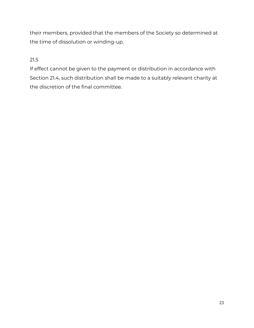their members, provided that the members of the Society so determined at the time of dissolution or winding-up.

# 21.5

<span id="page-22-0"></span>If effect cannot be given to the payment or distribution in accordance with Section 21.4, such distribution shall be made to a suitably relevant charity at the discretion of the final committee.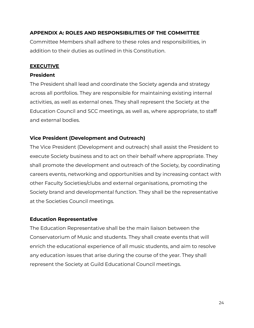## **APPENDIX A: ROLES AND RESPONSIBILITIES OF THE COMMITTEE**

Committee Members shall adhere to these roles and responsibilities, in addition to their duties as outlined in this Constitution.

## **EXECUTIVE**

#### **President**

The President shall lead and coordinate the Society agenda and strategy across all portfolios. They are responsible for maintaining existing internal activities, as well as external ones. They shall represent the Society at the Education Council and SCC meetings, as well as, where appropriate, to staff and external bodies.

## **Vice President (Development and Outreach)**

The Vice President (Development and outreach) shall assist the President to execute Society business and to act on their behalf where appropriate. They shall promote the development and outreach of the Society, by coordinating careers events, networking and opportunities and by increasing contact with other Faculty Societies/clubs and external organisations, promoting the Society brand and developmental function. They shall be the representative at the Societies Council meetings.

## **Education Representative**

The Education Representative shall be the main liaison between the Conservatorium of Music and students. They shall create events that will enrich the educational experience of all music students, and aim to resolve any education issues that arise during the course of the year. They shall represent the Society at Guild Educational Council meetings.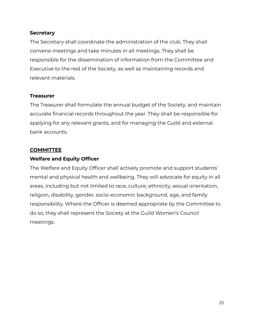#### **Secretary**

The Secretary shall coordinate the administration of the club. They shall convene meetings and take minutes in all meetings. They shall be responsible for the dissemination of information from the Committee and Executive to the rest of the Society, as well as maintaining records and relevant materials.

#### **Treasurer**

The Treasurer shall formulate the annual budget of the Society, and maintain accurate financial records throughout the year. They shall be responsible for applying for any relevant grants, and for managing the Guild and external bank accounts.

#### **COMMITTEE**

#### **Welfare and Equity Officer**

The Welfare and Equity Officer shall actively promote and support students' mental and physical health and wellbeing. They will advocate for equity in all areas, including but not limited to race, culture, ethnicity, sexual orientation, religion, disability, gender, socio-economic background, age, and family responsibility. Where the Officer is deemed appropriate by the Committee to do so, they shall represent the Society at the Guild Women's Council meetings.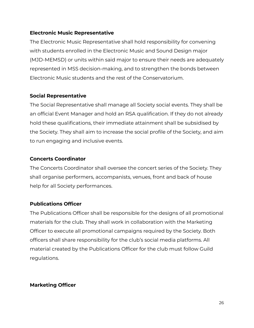#### **Electronic Music Representative**

The Electronic Music Representative shall hold responsibility for convening with students enrolled in the Electronic Music and Sound Design major (MJD-MEMSD) or units within said major to ensure their needs are adequately represented in MSS decision-making, and to strengthen the bonds between Electronic Music students and the rest of the Conservatorium.

## **Social Representative**

The Social Representative shall manage all Society social events. They shall be an official Event Manager and hold an RSA qualification. If they do not already hold these qualifications, their immediate attainment shall be subsidised by the Society. They shall aim to increase the social profile of the Society, and aim to run engaging and inclusive events.

#### **Concerts Coordinator**

The Concerts Coordinator shall oversee the concert series of the Society. They shall organise performers, accompanists, venues, front and back of house help for all Society performances.

## **Publications Officer**

The Publications Officer shall be responsible for the designs of all promotional materials for the club. They shall work in collaboration with the Marketing Officer to execute all promotional campaigns required by the Society. Both officers shall share responsibility for the club's social media platforms. All material created by the Publications Officer for the club must follow Guild regulations.

## **Marketing Officer**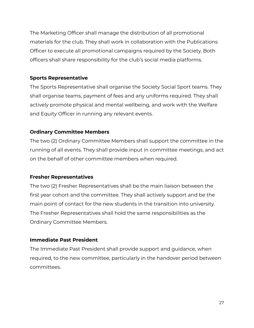The Marketing Officer shall manage the distribution of all promotional materials for the club. They shall work in collaboration with the Publications Officer to execute all promotional campaigns required by the Society. Both officers shall share responsibility for the club's social media platforms.

## **Sports Representative**

The Sports Representative shall organise the Society Social Sport teams. They shall organise teams, payment of fees and any uniforms required. They shall actively promote physical and mental wellbeing, and work with the Welfare and Equity Officer in running any relevant events.

## **Ordinary Committee Members**

The two (2) Ordinary Committee Members shall support the committee in the running of all events. They shall provide input in committee meetings, and act on the behalf of other committee members when required.

## **Fresher Representatives**

The two (2) Fresher Representatives shall be the main liaison between the first year cohort and the committee. They shall actively support and be the main point of contact for the new students in the transition into university. The Fresher Representatives shall hold the same responsibilities as the Ordinary Committee Members.

## **Immediate Past President**

The Immediate Past President shall provide support and guidance, when required, to the new committee, particularly in the handover period between committees.